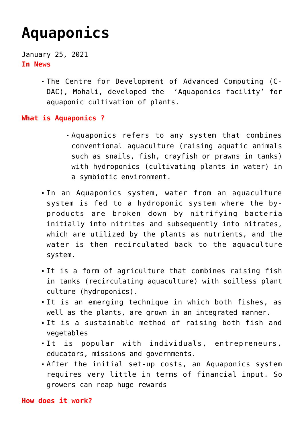## **[Aquaponics](https://journalsofindia.com/aquaponics/)**

January 25, 2021 **In News**

> The Centre for Development of Advanced Computing (C-DAC), Mohali, developed the 'Aquaponics facility' for aquaponic cultivation of plants.

## **What is Aquaponics ?**

- Aquaponics refers to any system that combines conventional aquaculture (raising aquatic animals such as snails, fish, crayfish or prawns in tanks) with hydroponics (cultivating plants in water) in a symbiotic environment.
- In an Aquaponics system, water from an aquaculture system is fed to a hydroponic system where the byproducts are broken down by nitrifying bacteria initially into nitrites and subsequently into nitrates, which are utilized by the plants as nutrients, and the water is then recirculated back to the aquaculture system.
- It is a form of agriculture that combines raising fish in tanks (recirculating aquaculture) with soilless plant culture (hydroponics).
- It is an emerging technique in which both fishes, as well as the plants, are grown in an integrated manner.
- It is a sustainable method of raising both fish and vegetables
- It is popular with individuals, entrepreneurs, educators, missions and governments.
- After the initial set-up costs, an Aquaponics system requires very little in terms of financial input. So growers can reap huge rewards

## **How does it work?**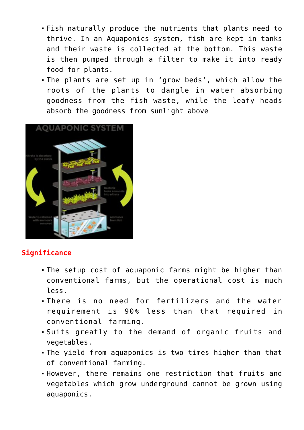- Fish naturally produce the nutrients that plants need to thrive. In an Aquaponics system, fish are kept in tanks and their waste is collected at the bottom. This waste is then pumped through a filter to make it into ready food for plants.
- The plants are set up in 'grow beds', which allow the roots of the plants to dangle in water absorbing goodness from the fish waste, while the leafy heads absorb the goodness from sunlight above



## **Significance**

- The setup cost of aquaponic farms might be higher than conventional farms, but the operational cost is much less.
- There is no need for fertilizers and the water requirement is 90% less than that required in conventional farming.
- Suits greatly to the demand of organic fruits and vegetables.
- The yield from aquaponics is two times higher than that of conventional farming.
- However, there remains one restriction that fruits and vegetables which grow underground cannot be grown using aquaponics.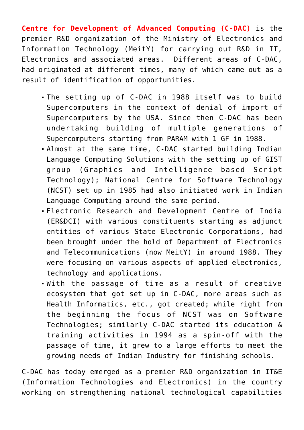**Centre for Development of Advanced Computing (C-DAC)** is the premier R&D organization of the Ministry of Electronics and Information Technology (MeitY) for carrying out R&D in IT, Electronics and associated areas. Different areas of C-DAC, had originated at different times, many of which came out as a result of identification of opportunities.

- The setting up of C-DAC in 1988 itself was to build Supercomputers in the context of denial of import of Supercomputers by the USA. Since then C-DAC has been undertaking building of multiple generations of Supercomputers starting from PARAM with 1 GF in 1988.
- Almost at the same time, C-DAC started building Indian Language Computing Solutions with the setting up of GIST group (Graphics and Intelligence based Script Technology); National Centre for Software Technology (NCST) set up in 1985 had also initiated work in Indian Language Computing around the same period.
- Electronic Research and Development Centre of India (ER&DCI) with various constituents starting as adjunct entities of various State Electronic Corporations, had been brought under the hold of Department of Electronics and Telecommunications (now MeitY) in around 1988. They were focusing on various aspects of applied electronics, technology and applications.
- With the passage of time as a result of creative ecosystem that got set up in C-DAC, more areas such as Health Informatics, etc., got created; while right from the beginning the focus of NCST was on Software Technologies; similarly C-DAC started its education & training activities in 1994 as a spin-off with the passage of time, it grew to a large efforts to meet the growing needs of Indian Industry for finishing schools.

C-DAC has today emerged as a premier R&D organization in IT&E (Information Technologies and Electronics) in the country working on strengthening national technological capabilities